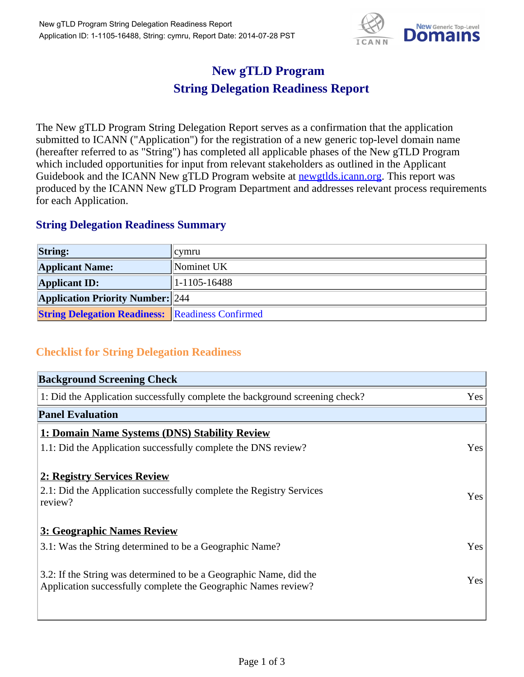

## **New gTLD Program String Delegation Readiness Report**

The New gTLD Program String Delegation Report serves as a confirmation that the application submitted to ICANN ("Application") for the registration of a new generic top-level domain name (hereafter referred to as "String") has completed all applicable phases of the New gTLD Program which included opportunities for input from relevant stakeholders as outlined in the Applicant Guidebook and the ICANN New gTLD Program website at newgtlds.icann.org. This report was produced by the ICANN New gTLD Program Department and addresses relevant process requirements for each Application.

## **String Delegation Readiness Summary**

| <b>String:</b>                                          | cymru            |
|---------------------------------------------------------|------------------|
| <b>Applicant Name:</b>                                  | Nominet UK       |
| <b>Applicant ID:</b>                                    | $ 1-1105-16488 $ |
| <b>Application Priority Number: 244</b>                 |                  |
| <b>String Delegation Readiness: Readiness Confirmed</b> |                  |

## **Checklist for String Delegation Readiness**

| <b>Background Screening Check</b>                                                                                                    |     |
|--------------------------------------------------------------------------------------------------------------------------------------|-----|
| 1: Did the Application successfully complete the background screening check?                                                         | Yes |
| <b>Panel Evaluation</b>                                                                                                              |     |
| 1: Domain Name Systems (DNS) Stability Review                                                                                        |     |
| 1.1: Did the Application successfully complete the DNS review?                                                                       | Yes |
| 2: Registry Services Review<br>2.1: Did the Application successfully complete the Registry Services<br>review?                       | Yes |
| 3: Geographic Names Review                                                                                                           |     |
| 3.1: Was the String determined to be a Geographic Name?                                                                              | Yes |
| 3.2: If the String was determined to be a Geographic Name, did the<br>Application successfully complete the Geographic Names review? | Yes |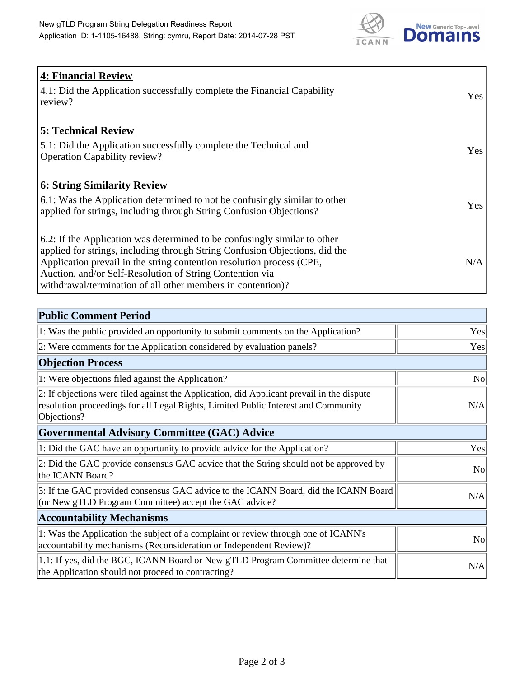

| 4: Financial Review                                                                |            |
|------------------------------------------------------------------------------------|------------|
| $\vert$ 4.1: Did the Application successfully complete the Financial Capability    | Yes        |
| review?                                                                            |            |
| <b>5: Technical Review</b>                                                         |            |
| 5.1: Did the Application successfully complete the Technical and                   | <b>Yes</b> |
| <b>Operation Capability review?</b>                                                |            |
|                                                                                    |            |
| <b>6: String Similarity Review</b>                                                 |            |
| $\vert$ 6.1: Was the Application determined to not be confusingly similar to other | Yes        |
| applied for strings, including through String Confusion Objections?                |            |
| 6.2: If the Application was determined to be confusingly similar to other          |            |
| applied for strings, including through String Confusion Objections, did the        |            |
| Application prevail in the string contention resolution process (CPE,              | N/A        |
| Auction, and/or Self-Resolution of String Contention via                           |            |
| withdrawal/termination of all other members in contention)?                        |            |

| <b>Public Comment Period</b>                                                                                                                                                                   |                |
|------------------------------------------------------------------------------------------------------------------------------------------------------------------------------------------------|----------------|
| 1: Was the public provided an opportunity to submit comments on the Application?                                                                                                               | Yes            |
| 2: Were comments for the Application considered by evaluation panels?                                                                                                                          | Yes            |
| <b>Objection Process</b>                                                                                                                                                                       |                |
| 1: Were objections filed against the Application?                                                                                                                                              | N <sub>0</sub> |
| 2: If objections were filed against the Application, did Applicant prevail in the dispute<br>resolution proceedings for all Legal Rights, Limited Public Interest and Community<br>Objections? | N/A            |
| <b>Governmental Advisory Committee (GAC) Advice</b>                                                                                                                                            |                |
| 1: Did the GAC have an opportunity to provide advice for the Application?                                                                                                                      | Yes            |
| 2: Did the GAC provide consensus GAC advice that the String should not be approved by<br>the ICANN Board?                                                                                      | N <sub>0</sub> |
| 3: If the GAC provided consensus GAC advice to the ICANN Board, did the ICANN Board<br>(or New gTLD Program Committee) accept the GAC advice?                                                  | N/A            |
| <b>Accountability Mechanisms</b>                                                                                                                                                               |                |
| 1: Was the Application the subject of a complaint or review through one of ICANN's<br>accountability mechanisms (Reconsideration or Independent Review)?                                       | N <sub>0</sub> |
| 1.1: If yes, did the BGC, ICANN Board or New gTLD Program Committee determine that<br>the Application should not proceed to contracting?                                                       | N/A            |